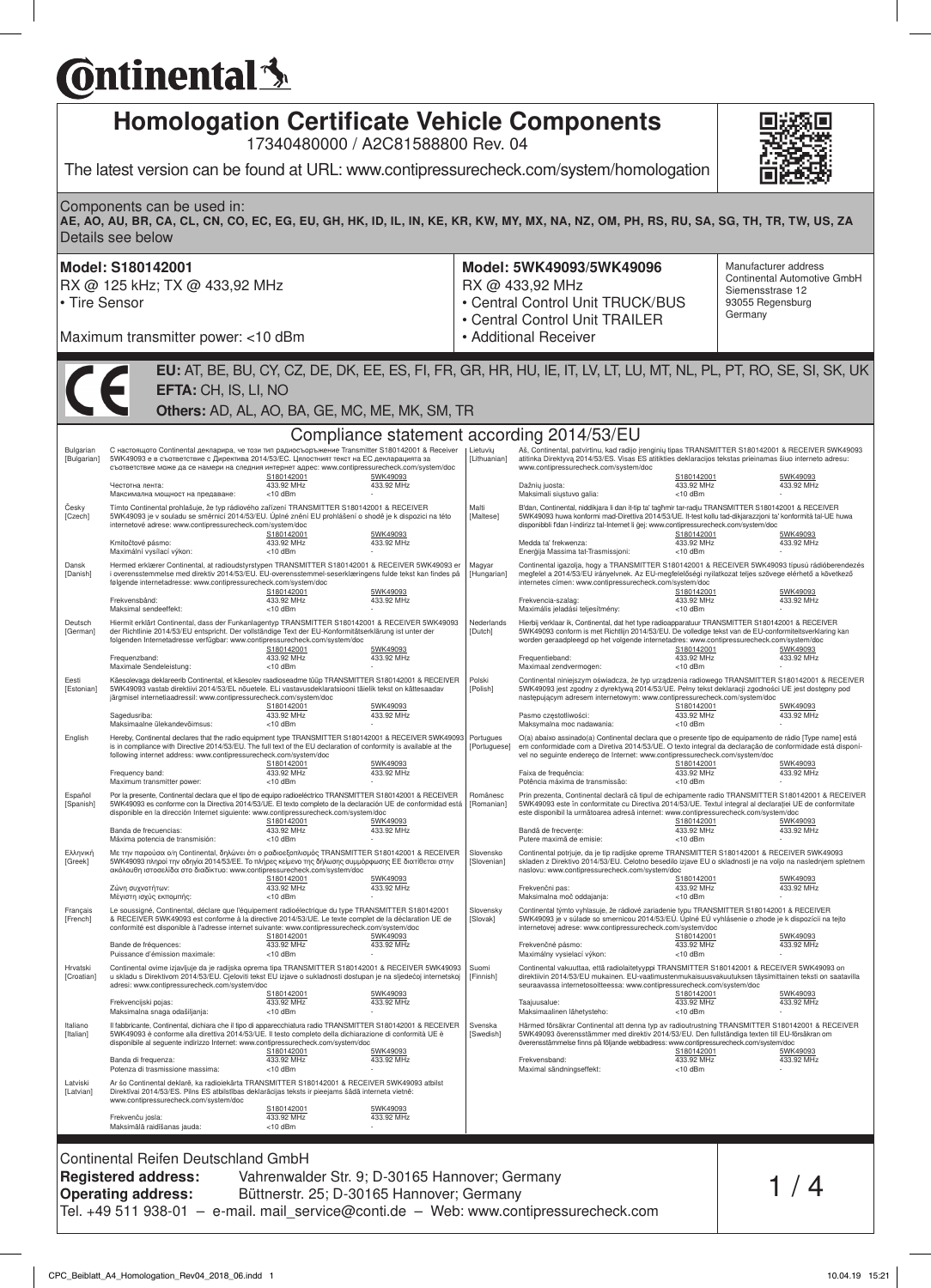# **C**ntinental<sup>{</sup>

| Components can be used in:<br>RX @ 125 kHz; TX @ 433,92 MHz<br>Maximum transmitter power: <10 dBm<br>EFTA: CH, IS, LI, NO<br>Others: AD, AL, AO, BA, GE, MC, ME, MK, SM, TR<br>С настоящото Continental декларира, че този тип радиосъоръжение Transmitter S180142001 & Receiver<br>5WK49093 е в съответствие с Директива 2014/53/ЕС. Цялостният текст на ЕС декларацията за<br>съответствие може да се намери на следния интернет адрес: www.contipressurecheck.com/system/doc<br>S180142001<br>433.92 MHz<br>$<$ 10 dBm<br>Максимална мощност на предаване: | Compliance statement according 2014/53/EU                                                              |                                                                                                                                                                                                                                                                                                                                                                                                                                                                                                                                                                                                                                                                                                                                                                                                                                                                                                                                                                                                                                                                | The latest version can be found at URL: www.contipressurecheck.com/system/homologation<br>AE, AO, AU, BR, CA, CL, CN, CO, EC, EG, EU, GH, HK, ID, IL, IN, KE, KR, KW, MY, MX, NA, NZ, OM, PH, RS, RU, SA, SG, TH, TR, TW, US, ZA<br>Model: 5WK49093/5WK49096<br>RX @ 433,92 MHz<br>• Central Control Unit TRUCK/BUS<br>• Central Control Unit TRAILER<br>• Additional Receiver<br>EU: AT, BE, BU, CY, CZ, DE, DK, EE, ES, FI, FR, GR, HR, HU, IE, IT, LV, LT, LU, MT, NL, PL, PT, RO, SE, SI, SK, UK | Manufacturer address<br>Continental Automotive GmbH<br>Siemensstrase 12<br>93055 Regensburg<br>Germany                                                                                                                                                                                                                                                                                                                                                                                                                                                                                                                                                                                                                                                                                                                                                                                                                                                                                                                                                                                                                                                              |
|---------------------------------------------------------------------------------------------------------------------------------------------------------------------------------------------------------------------------------------------------------------------------------------------------------------------------------------------------------------------------------------------------------------------------------------------------------------------------------------------------------------------------------------------------------------|--------------------------------------------------------------------------------------------------------|----------------------------------------------------------------------------------------------------------------------------------------------------------------------------------------------------------------------------------------------------------------------------------------------------------------------------------------------------------------------------------------------------------------------------------------------------------------------------------------------------------------------------------------------------------------------------------------------------------------------------------------------------------------------------------------------------------------------------------------------------------------------------------------------------------------------------------------------------------------------------------------------------------------------------------------------------------------------------------------------------------------------------------------------------------------|------------------------------------------------------------------------------------------------------------------------------------------------------------------------------------------------------------------------------------------------------------------------------------------------------------------------------------------------------------------------------------------------------------------------------------------------------------------------------------------------------|---------------------------------------------------------------------------------------------------------------------------------------------------------------------------------------------------------------------------------------------------------------------------------------------------------------------------------------------------------------------------------------------------------------------------------------------------------------------------------------------------------------------------------------------------------------------------------------------------------------------------------------------------------------------------------------------------------------------------------------------------------------------------------------------------------------------------------------------------------------------------------------------------------------------------------------------------------------------------------------------------------------------------------------------------------------------------------------------------------------------------------------------------------------------|
|                                                                                                                                                                                                                                                                                                                                                                                                                                                                                                                                                               |                                                                                                        |                                                                                                                                                                                                                                                                                                                                                                                                                                                                                                                                                                                                                                                                                                                                                                                                                                                                                                                                                                                                                                                                |                                                                                                                                                                                                                                                                                                                                                                                                                                                                                                      |                                                                                                                                                                                                                                                                                                                                                                                                                                                                                                                                                                                                                                                                                                                                                                                                                                                                                                                                                                                                                                                                                                                                                                     |
|                                                                                                                                                                                                                                                                                                                                                                                                                                                                                                                                                               |                                                                                                        |                                                                                                                                                                                                                                                                                                                                                                                                                                                                                                                                                                                                                                                                                                                                                                                                                                                                                                                                                                                                                                                                |                                                                                                                                                                                                                                                                                                                                                                                                                                                                                                      |                                                                                                                                                                                                                                                                                                                                                                                                                                                                                                                                                                                                                                                                                                                                                                                                                                                                                                                                                                                                                                                                                                                                                                     |
|                                                                                                                                                                                                                                                                                                                                                                                                                                                                                                                                                               |                                                                                                        |                                                                                                                                                                                                                                                                                                                                                                                                                                                                                                                                                                                                                                                                                                                                                                                                                                                                                                                                                                                                                                                                |                                                                                                                                                                                                                                                                                                                                                                                                                                                                                                      |                                                                                                                                                                                                                                                                                                                                                                                                                                                                                                                                                                                                                                                                                                                                                                                                                                                                                                                                                                                                                                                                                                                                                                     |
|                                                                                                                                                                                                                                                                                                                                                                                                                                                                                                                                                               |                                                                                                        |                                                                                                                                                                                                                                                                                                                                                                                                                                                                                                                                                                                                                                                                                                                                                                                                                                                                                                                                                                                                                                                                |                                                                                                                                                                                                                                                                                                                                                                                                                                                                                                      |                                                                                                                                                                                                                                                                                                                                                                                                                                                                                                                                                                                                                                                                                                                                                                                                                                                                                                                                                                                                                                                                                                                                                                     |
|                                                                                                                                                                                                                                                                                                                                                                                                                                                                                                                                                               | 5WK49093<br>433.92 MHz                                                                                 | Lietuvių<br>[Lithuanian]                                                                                                                                                                                                                                                                                                                                                                                                                                                                                                                                                                                                                                                                                                                                                                                                                                                                                                                                                                                                                                       | Aš, Continental, patvirtinu, kad radijo jrenginių tipas TRANSMITTER S180142001 & RECEIVER 5WK49093<br>atitinka Direktyvą 2014/53/ES. Visas ES atitikties deklaracijos tekstas prieinamas šiuo interneto adresu:<br>www.contipressurecheck.com/system/doc<br>S180142001<br>Dažnių juosta:<br>433.92 MHz<br>Maksimali siystuvo galia:<br>$<$ 10 dBm                                                                                                                                                    | 5WK49093<br>433.92 MHz                                                                                                                                                                                                                                                                                                                                                                                                                                                                                                                                                                                                                                                                                                                                                                                                                                                                                                                                                                                                                                                                                                                                              |
| Tímto Continental prohlašuje, že typ rádiového zařízení TRANSMITTER S180142001 & RECEIVER<br>5WK49093 je v souladu se směrnicí 2014/53/EU. Úplné znění EU prohlášení o shodě je k dispozici na této<br>internetové adrese: www.contipressurecheck.com/system/doc<br>S180142001<br>433.92 MHz<br>$<$ 10 dBm                                                                                                                                                                                                                                                    | 5WK49093<br>433.92 MHz                                                                                 | Malti<br><b>[Maltese]</b>                                                                                                                                                                                                                                                                                                                                                                                                                                                                                                                                                                                                                                                                                                                                                                                                                                                                                                                                                                                                                                      | B'dan, Continental, niddikjara li dan it-tip ta' taqhmir tar-radju TRANSMITTER S180142001 & RECEIVER<br>5WK49093 huwa konformi mad-Direttiva 2014/53/UE. It-test kollu tad-dikiarazzioni ta' konformità tal-UE huwa<br>disponibbli f'dan l-indirizz tal-Internet li gej: www.contipressurecheck.com/system/doc<br>S180142001<br>Medda ta' frekwenza:<br>433.92 MHz<br>Enerģija Massima tat-Trasmissjoni:<br>$<$ 10 dBm                                                                               | 5WK49093<br>433.92 MHz                                                                                                                                                                                                                                                                                                                                                                                                                                                                                                                                                                                                                                                                                                                                                                                                                                                                                                                                                                                                                                                                                                                                              |
| Hermed erklærer Continental, at radioudstyrstypen TRANSMITTER S180142001 & RECEIVER 5WK49093 er<br>i overensstemmelse med direktiv 2014/53/EU. EU-overensstemmel-seserklæringens fulde tekst kan findes på<br>følgende internetadresse: www.contipressurecheck.com/system/doc<br>S180142001<br>433.92 MHz<br>$<$ 10 dBm                                                                                                                                                                                                                                       | 5WK49093<br>433.92 MHz                                                                                 | Magyar<br>[Hungarian]                                                                                                                                                                                                                                                                                                                                                                                                                                                                                                                                                                                                                                                                                                                                                                                                                                                                                                                                                                                                                                          | Continental igazolja, hogy a TRANSMITTER S180142001 & RECEIVER 5WK49093 típusú rádióberendezés<br>megfelel a 2014/53/EU irányelvnek. Az EU-megfelelőségi nyilatkozat teljes szövege elérhető a következő<br>internetes címen: www.contipressurecheck.com/system/doc<br>S180142001<br>Frekvencia-szalag:<br>433.92 MHz<br>Maximális jeladási teljesítmény:<br>$<$ 10 dBm                                                                                                                              | 5WK49093<br>433.92 MHz                                                                                                                                                                                                                                                                                                                                                                                                                                                                                                                                                                                                                                                                                                                                                                                                                                                                                                                                                                                                                                                                                                                                              |
| Hiermit erklärt Continental, dass der Funkanlagentyp TRANSMITTER S180142001 & RECEIVER 5WK49093<br>der Richtlinie 2014/53/EU entspricht. Der vollständige Text der EU-Konformitätserklärung ist unter der<br>folgenden Internetadresse verfügbar: www.contipressurecheck.com/system/doc<br>S180142001<br>433.92 MHz<br>$<$ 10 dBm                                                                                                                                                                                                                             | 5WK49093<br>433.92 MHz                                                                                 | Nederlands<br>[Dutch]                                                                                                                                                                                                                                                                                                                                                                                                                                                                                                                                                                                                                                                                                                                                                                                                                                                                                                                                                                                                                                          | Hierbij verklaar ik, Continental, dat het type radioapparatuur TRANSMITTER S180142001 & RECEIVER<br>5WK49093 conform is met Richtlijn 2014/53/EU. De volledige tekst van de EU-conformiteitsverklaring kan<br>worden geraadpleegd op het volgende internetadres: www.contipressurecheck.com/system/doc<br>S180142001<br>Frequentieband:<br>433.92 MHz<br>Maximaal zendvermogen:<br>$<$ 10 dBm                                                                                                        | 5WK49093<br>433.92 MHz                                                                                                                                                                                                                                                                                                                                                                                                                                                                                                                                                                                                                                                                                                                                                                                                                                                                                                                                                                                                                                                                                                                                              |
| Käesolevaga deklareerib Continental, et käesolev raadioseadme tüüp TRANSMITTER S180142001 & RECEIVER<br>5WK49093 vastab direktiivi 2014/53/EL nõuetele. ELi vastavusdeklaratsiooni täielik tekst on kättesaadav<br>järgmisel internetiaadressil: www.contipressurecheck.com/system/doc<br>S180142001<br>433.92 MHz                                                                                                                                                                                                                                            | 5WK49093<br>433.92 MHz                                                                                 | Polski<br>[Polish]                                                                                                                                                                                                                                                                                                                                                                                                                                                                                                                                                                                                                                                                                                                                                                                                                                                                                                                                                                                                                                             | Continental niniejszym oświadcza, że typ urządzenia radiowego TRANSMITTER S180142001 & RECEIVER<br>5WK49093 jest zgodny z dyrektywą 2014/53/UE. Pełny tekst deklaracji zgodności UE jest dostępny pod<br>następującym adresem internetowym: www.contipressurecheck.com/system/doc<br>S180142001<br>Pasmo częstotliwości:<br>433.92 MHz                                                                                                                                                               | 5WK49093<br>433.92 MHz                                                                                                                                                                                                                                                                                                                                                                                                                                                                                                                                                                                                                                                                                                                                                                                                                                                                                                                                                                                                                                                                                                                                              |
| Maksimaalne ülekandevõimsus:<br>$<$ 10 dBm<br>Hereby, Continental declares that the radio equipment type TRANSMITTER S180142001 & RECEIVER 5WK49093 Portugues<br>is in compliance with Directive 2014/53/EU. The full text of the EU declaration of conformity is available at the<br>following internet address: www.contipressurecheck.com/system/doc<br>S180142001<br>433.92 MHz                                                                                                                                                                           | 5WK49093<br>433.92 MHz                                                                                 | [Portuguese]                                                                                                                                                                                                                                                                                                                                                                                                                                                                                                                                                                                                                                                                                                                                                                                                                                                                                                                                                                                                                                                   | Maksymalna moc nadawania:<br>$<$ 10 dBm<br>O(a) abaixo assinado(a) Continental declara que o presente tipo de equipamento de rádio [Type name] está<br>em conformidade com a Diretiva 2014/53/UE. O texto integral da declaração de conformidade está disponí-<br>vel no seguinte endereço de Internet: www.contipressurecheck.com/system/doc<br>S180142001<br>Faixa de frequência:<br>433.92 MHz                                                                                                    | 5WK49093<br>433.92 MHz                                                                                                                                                                                                                                                                                                                                                                                                                                                                                                                                                                                                                                                                                                                                                                                                                                                                                                                                                                                                                                                                                                                                              |
| $<$ 10 dBm<br>Por la presente, Continental declara que el tipo de equipo radioeléctrico TRANSMITTER S180142001 & RECEIVER<br>5WK49093 es conforme con la Directiva 2014/53/UE. El texto completo de la declaración UE de conformidad está<br>disponible en la dirección Internet siguiente: www.contipressurecheck.com/system/doc<br>S180142001<br>433.92 MHz<br>Máxima potencia de transmisión:<br>$<$ 10 dBm                                                                                                                                                | 5WK49093<br>433.92 MHz                                                                                 | Românesc<br>[Romanian]                                                                                                                                                                                                                                                                                                                                                                                                                                                                                                                                                                                                                                                                                                                                                                                                                                                                                                                                                                                                                                         | Potência máxima de transmissão:<br>$<$ 10 dBm<br>Prin prezenta, Continental declară că tipul de echipamente radio TRANSMITTER S180142001 & RECEIVER<br>5WK49093 este în conformitate cu Directiva 2014/53/UE. Textul integral al declarației UE de conformitate<br>este disponibil la următoarea adresă internet: www.contipressurecheck.com/system/doc<br>S180142001<br>Bandă de frecvente:<br>433.92 MHz<br>Putere maximă de emisie:<br>$<$ 10 dBm                                                 | 5WK49093<br>433.92 MHz                                                                                                                                                                                                                                                                                                                                                                                                                                                                                                                                                                                                                                                                                                                                                                                                                                                                                                                                                                                                                                                                                                                                              |
| Με την παρούσα ο/η Continental, δηλώνει ότι ο ραδιοεξοπλισμός TRANSMITTER S180142001 & RECEIVER<br>5WK49093 πληροί την οδηγία 2014/53/ΕΕ. Το πλήρες κείμενο της δήλωσης συμμόρφωσης ΕΕ διατίθεται στην<br>S180142001                                                                                                                                                                                                                                                                                                                                          | 5WK49093                                                                                               | Slovensko<br>[Slovenian]                                                                                                                                                                                                                                                                                                                                                                                                                                                                                                                                                                                                                                                                                                                                                                                                                                                                                                                                                                                                                                       | Continental potrjuje, da je tip radijske opreme TRANSMITTER S180142001 & RECEIVER 5WK49093<br>skladen z Direktivo 2014/53/EU. Celotno besedilo izjave EU o skladnosti je na voljo na naslednjem spletnem<br>naslovu: www.contipressurecheck.com/system/doc                                                                                                                                                                                                                                           | 5WK49093<br>433.92 MHz                                                                                                                                                                                                                                                                                                                                                                                                                                                                                                                                                                                                                                                                                                                                                                                                                                                                                                                                                                                                                                                                                                                                              |
| $<$ 10 dBm<br>S180142001<br>433.92 MHz                                                                                                                                                                                                                                                                                                                                                                                                                                                                                                                        | 5WK49093<br>433.92 MHz                                                                                 | Slovensky<br>[Slovak]                                                                                                                                                                                                                                                                                                                                                                                                                                                                                                                                                                                                                                                                                                                                                                                                                                                                                                                                                                                                                                          | Maksimalna moč oddajanja:<br>Frekvenčné pásmo:                                                                                                                                                                                                                                                                                                                                                                                                                                                       | 5WK49093<br>433.92 MHz                                                                                                                                                                                                                                                                                                                                                                                                                                                                                                                                                                                                                                                                                                                                                                                                                                                                                                                                                                                                                                                                                                                                              |
| Puissance d'émission maximale:<br>adresi: www.contipressurecheck.com/system/doc<br>S180142001                                                                                                                                                                                                                                                                                                                                                                                                                                                                 | 5WK49093                                                                                               | Suomi<br>[Finnish]                                                                                                                                                                                                                                                                                                                                                                                                                                                                                                                                                                                                                                                                                                                                                                                                                                                                                                                                                                                                                                             |                                                                                                                                                                                                                                                                                                                                                                                                                                                                                                      | 5WK49093<br>433.92 MHz                                                                                                                                                                                                                                                                                                                                                                                                                                                                                                                                                                                                                                                                                                                                                                                                                                                                                                                                                                                                                                                                                                                                              |
| Maksimalna snaga odašiljanja:<br>$<$ 10 dBm<br>S180142001<br>433.92 MHz                                                                                                                                                                                                                                                                                                                                                                                                                                                                                       | 5WK49093<br>433.92 MHz                                                                                 | Svenska<br>[Swedish]                                                                                                                                                                                                                                                                                                                                                                                                                                                                                                                                                                                                                                                                                                                                                                                                                                                                                                                                                                                                                                           | Maksimaalinen lähetysteho:<br>Frekvensband:                                                                                                                                                                                                                                                                                                                                                                                                                                                          | 5WK49093<br>433.92 MHz                                                                                                                                                                                                                                                                                                                                                                                                                                                                                                                                                                                                                                                                                                                                                                                                                                                                                                                                                                                                                                                                                                                                              |
| Potenza di trasmissione massima:<br>www.contipressurecheck.com/system/doc<br>S180142001<br>433.92 MHz                                                                                                                                                                                                                                                                                                                                                                                                                                                         | 5WK49093<br>433.92 MHz                                                                                 |                                                                                                                                                                                                                                                                                                                                                                                                                                                                                                                                                                                                                                                                                                                                                                                                                                                                                                                                                                                                                                                                |                                                                                                                                                                                                                                                                                                                                                                                                                                                                                                      |                                                                                                                                                                                                                                                                                                                                                                                                                                                                                                                                                                                                                                                                                                                                                                                                                                                                                                                                                                                                                                                                                                                                                                     |
|                                                                                                                                                                                                                                                                                                                                                                                                                                                                                                                                                               | 433.92 MHz<br>$<$ 10 dBm<br>433.92 MHz<br>$<$ 10 dBm<br><10 dBm<br>Continental Reifen Deutschland GmbH | ακόλουθη ιστοσελίδα στο διαδίκτυο: www.contipressurecheck.com/system/doc<br>433.92 MHz<br>Le soussigné, Continental, déclare que l'équipement radioélectrique du type TRANSMITTER S180142001<br>& RECEIVER 5WK49093 est conforme à la directive 2014/53/UE. Le texte complet de la déclaration UE de<br>conformité est disponible à l'adresse internet suivante: www.contipressurecheck.com/system/doc<br>u skladu s Direktivom 2014/53/EU. Cjeloviti tekst EU izjave o sukladnosti dostupan je na sljedećoj internetskoj<br>433.92 MHz<br>Il fabbricante, Continental, dichiara che il tipo di apparecchiatura radio TRANSMITTER S180142001 & RECEIVER<br>5WK49093 è conforme alla direttiva 2014/53/UE. Il testo completo della dichiarazione di conformità UE è<br>disponibile al seguente indirizzo Internet: www.contipressurecheck.com/system/doc<br>Ar šo Continental deklarē, ka radioiekārta TRANSMITTER S180142001 & RECEIVER 5WK49093 atbilst<br>Direktīvai 2014/53/ES. Pilns ES atbilstības deklarācijas teksts ir pieejams šādā interneta vietnē: | Continental ovime izjavljuje da je radijska oprema tipa TRANSMITTER S180142001 & RECEIVER 5WK49093                                                                                                                                                                                                                                                                                                                                                                                                   | S180142001<br>Frekvenčni pas:<br>433.92 MHz<br>$<$ 10 dBm<br>Continental týmto vyhlasuje, že rádiové zariadenie typu TRANSMITTER S180142001 & RECEIVER<br>5WK49093 je v súlade so smernicou 2014/53/EÚ. Úplné EÚ vyhlásenie o zhode je k dispozícii na tejto<br>internetovej adrese: www.contipressurecheck.com/system/doc<br>S180142001<br>433.92 MHz<br>Maximálny vysielací výkon:<br>$<$ 10 dBm<br>Continental vakuuttaa, että radiolaitetyyppi TRANSMITTER S180142001 & RECEIVER 5WK49093 on<br>direktiivin 2014/53/EU mukainen. EU-vaatimustenmukaisuusvakuutuksen täysimittainen teksti on saatavilla<br>seuraavassa internetosoitteessa: www.contipressurecheck.com/system/doc<br>S180142001<br>Taajuusalue:<br>433.92 MHz<br>$<$ 10 dBm<br>Härmed försäkrar Continental att denna typ av radioutrustning TRANSMITTER S180142001 & RECEIVER<br>5WK49093 överensstämmer med direktiv 2014/53/EU. Den fullständiga texten till EU-försäkran om<br>överensstämmelse finns på följande webbadress: www.contipressurecheck.com/system/doc<br>S180142001<br>433.92 MHz<br>Maximal sändningseffekt:<br>$<$ 10 dBm<br>Vahrenwalder Str. 9; D-30165 Hannover; Germany |

Tel. +49 511 938-01 – e-mail. mail\_service@conti.de – Web: www.contipressurecheck.com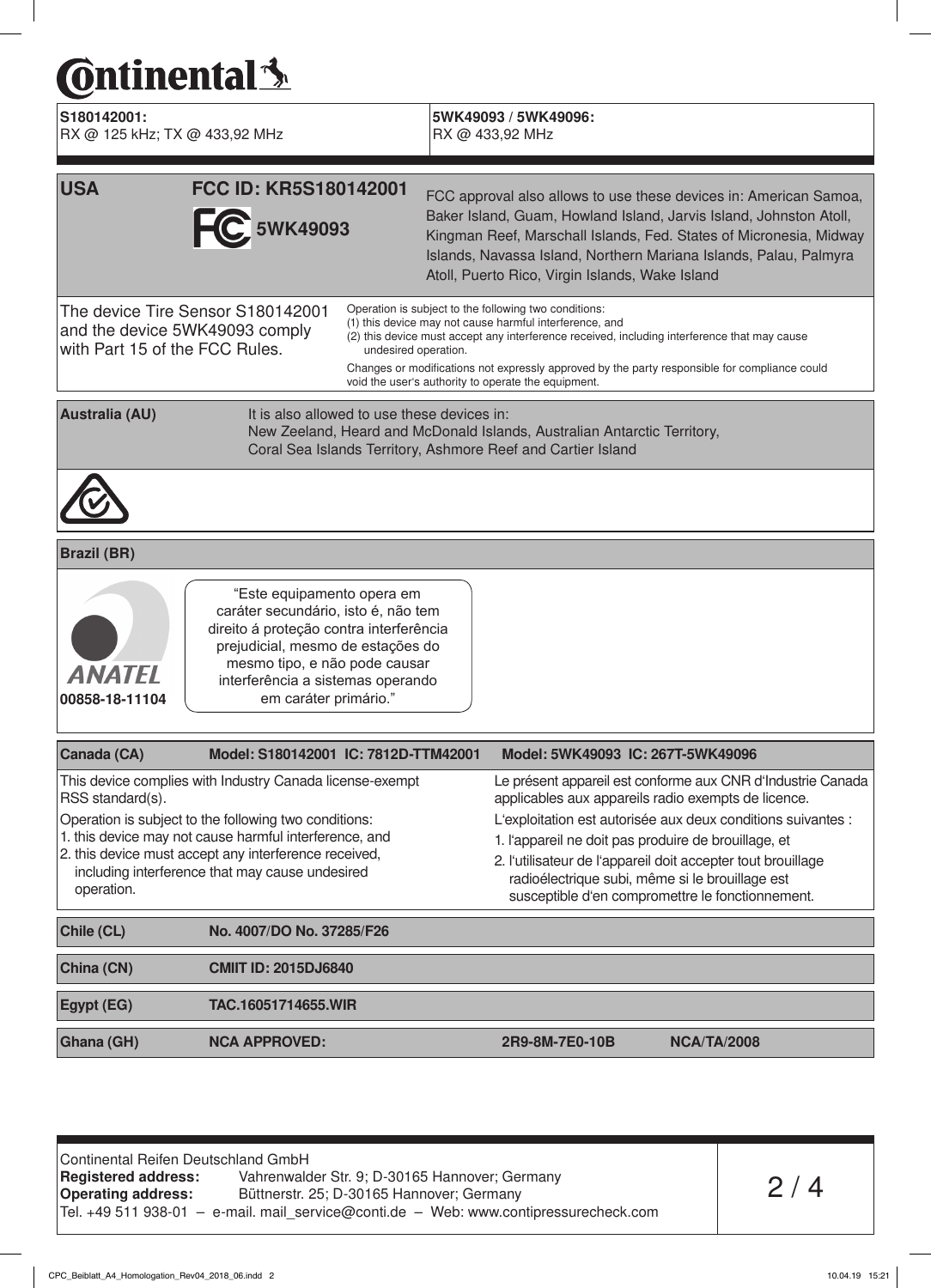# **Continental**<sup>3</sup>

| S180142001:<br>RX @ 125 kHz; TX @ 433,92 MHz                                                          |                                                                                                                                                                                                                                                                                         |                      | 5WK49093 / 5WK49096:<br>RX @ 433,92 MHz                                                                                                                                                                                                                                                                                                                                                                           |
|-------------------------------------------------------------------------------------------------------|-----------------------------------------------------------------------------------------------------------------------------------------------------------------------------------------------------------------------------------------------------------------------------------------|----------------------|-------------------------------------------------------------------------------------------------------------------------------------------------------------------------------------------------------------------------------------------------------------------------------------------------------------------------------------------------------------------------------------------------------------------|
| <b>USA</b>                                                                                            | FCC ID: KR5S180142001<br><b>C</b> 5WK49093                                                                                                                                                                                                                                              |                      | FCC approval also allows to use these devices in: American Samoa,<br>Baker Island, Guam, Howland Island, Jarvis Island, Johnston Atoll,<br>Kingman Reef, Marschall Islands, Fed. States of Micronesia, Midway<br>Islands, Navassa Island, Northern Mariana Islands, Palau, Palmyra<br>Atoll, Puerto Rico, Virgin Islands, Wake Island                                                                             |
| The device Tire Sensor S180142001<br>and the device 5WK49093 comply<br>with Part 15 of the FCC Rules. |                                                                                                                                                                                                                                                                                         | undesired operation. | Operation is subject to the following two conditions:<br>(1) this device may not cause harmful interference, and<br>(2) this device must accept any interference received, including interference that may cause<br>Changes or modifications not expressly approved by the party responsible for compliance could<br>void the user's authority to operate the equipment.                                          |
| <b>Australia (AU)</b>                                                                                 | It is also allowed to use these devices in:                                                                                                                                                                                                                                             |                      | New Zeeland, Heard and McDonald Islands, Australian Antarctic Territory,<br>Coral Sea Islands Territory, Ashmore Reef and Cartier Island                                                                                                                                                                                                                                                                          |
|                                                                                                       |                                                                                                                                                                                                                                                                                         |                      |                                                                                                                                                                                                                                                                                                                                                                                                                   |
| <b>Brazil (BR)</b>                                                                                    |                                                                                                                                                                                                                                                                                         |                      |                                                                                                                                                                                                                                                                                                                                                                                                                   |
| <b>ANATEL</b><br>00858-18-11104                                                                       | "Este equipamento opera em<br>caráter secundário, isto é, não tem<br>direito á proteção contra interferência<br>prejudicial, mesmo de estações do<br>mesmo tipo, e não pode causar<br>interferência a sistemas operando<br>em caráter primário."                                        |                      |                                                                                                                                                                                                                                                                                                                                                                                                                   |
| Canada (CA)                                                                                           | Model: S180142001 IC: 7812D-TTM42001                                                                                                                                                                                                                                                    |                      | Model: 5WK49093 IC: 267T-5WK49096                                                                                                                                                                                                                                                                                                                                                                                 |
| RSS standard(s).<br>operation.                                                                        | This device complies with Industry Canada license-exempt<br>Operation is subject to the following two conditions:<br>1. this device may not cause harmful interference, and<br>2. this device must accept any interference received,<br>including interference that may cause undesired |                      | Le présent appareil est conforme aux CNR d'Industrie Canada<br>applicables aux appareils radio exempts de licence.<br>L'exploitation est autorisée aux deux conditions suivantes :<br>1. l'appareil ne doit pas produire de brouillage, et<br>2. l'utilisateur de l'appareil doit accepter tout brouillage<br>radioélectrique subi, même si le brouillage est<br>susceptible d'en compromettre le fonctionnement. |
| Chile (CL)                                                                                            | No. 4007/DO No. 37285/F26                                                                                                                                                                                                                                                               |                      |                                                                                                                                                                                                                                                                                                                                                                                                                   |
| China (CN)                                                                                            | <b>CMIIT ID: 2015DJ6840</b>                                                                                                                                                                                                                                                             |                      |                                                                                                                                                                                                                                                                                                                                                                                                                   |
| Egypt (EG)                                                                                            | TAC.16051714655.WIR                                                                                                                                                                                                                                                                     |                      |                                                                                                                                                                                                                                                                                                                                                                                                                   |

Ghana (GH) NCA APPROVED: 2R9-8M-7E0-10B NCA/TA/2008

Continental Reifen Deutschland GmbH Registered address: Vahrenwalder Str. 9; D-30165 Hannover; Germany Operating address: Büttnerstr. 25; D-30165 Hannover; Germany Tel. +49 511 938-01 – e-mail. mail\_service@conti.de – Web: www.contipressurecheck.com

```
CPC_Beiblatt_A4_Homologation_Rev04_2018_06.indd 2 10.04.19 15:21
```
 $2/4$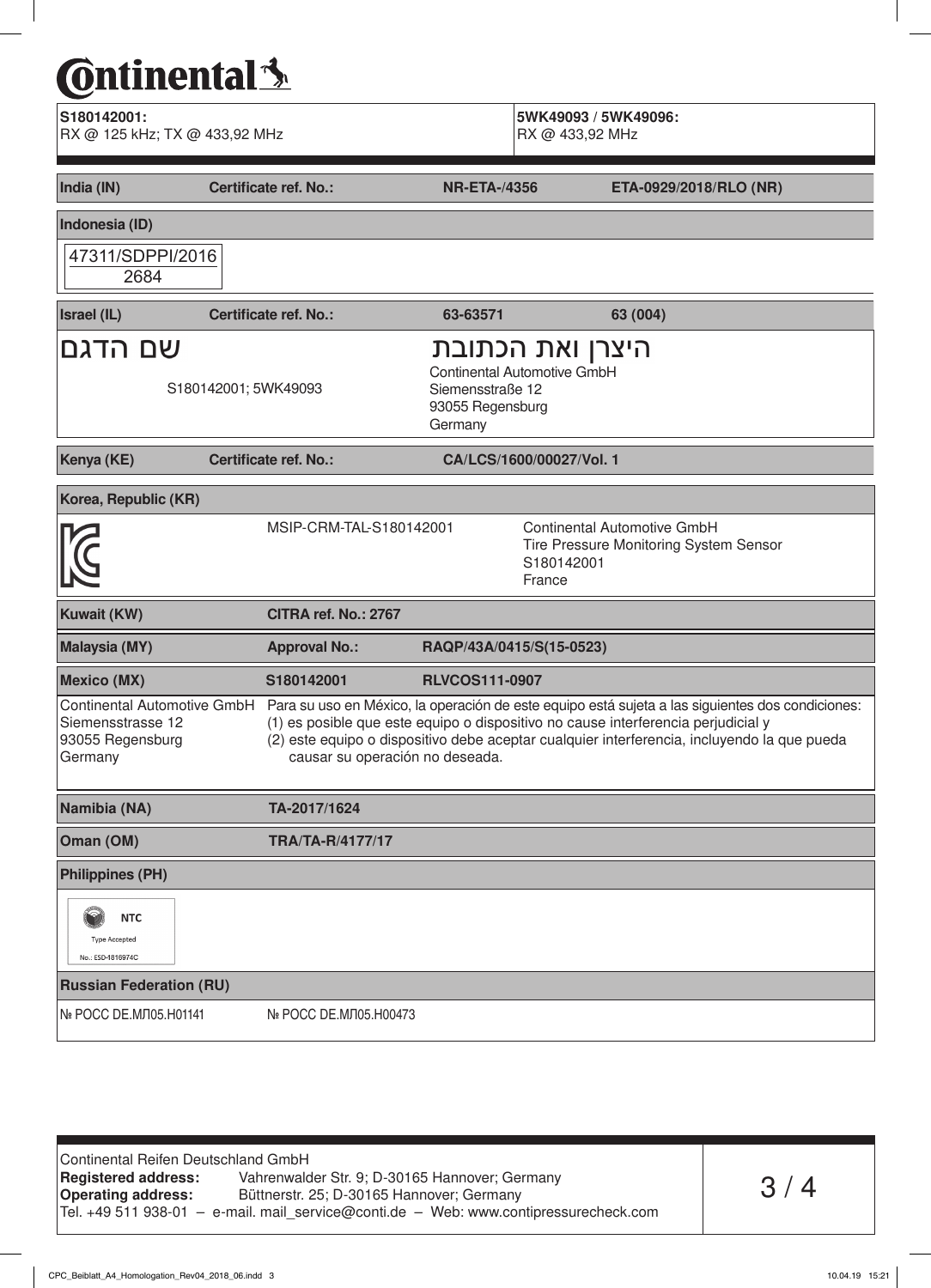### **C**ntinental<sup>{</sup>

| S180142001:<br>RX @ 125 kHz; TX @ 433,92 MHz            |                                 |                                                                                                    | 5WK49093 / 5WK49096:<br>RX @ 433,92 MHz |                                                                                                                                                                                                                                                                                                                  |
|---------------------------------------------------------|---------------------------------|----------------------------------------------------------------------------------------------------|-----------------------------------------|------------------------------------------------------------------------------------------------------------------------------------------------------------------------------------------------------------------------------------------------------------------------------------------------------------------|
| India (IN)                                              | <b>Certificate ref. No.:</b>    | <b>NR-ETA-/4356</b>                                                                                |                                         | ETA-0929/2018/RLO (NR)                                                                                                                                                                                                                                                                                           |
| Indonesia (ID)                                          |                                 |                                                                                                    |                                         |                                                                                                                                                                                                                                                                                                                  |
| 47311/SDPPI/2016<br>2684                                |                                 |                                                                                                    |                                         |                                                                                                                                                                                                                                                                                                                  |
| <b>Israel (IL)</b>                                      | <b>Certificate ref. No.:</b>    | 63-63571                                                                                           |                                         | 63 (004)                                                                                                                                                                                                                                                                                                         |
| שם הדגם                                                 | S180142001; 5WK49093            | היצרן ואת הכתובת<br>Continental Automotive GmbH<br>Siemensstraße 12<br>93055 Regensburg<br>Germany |                                         |                                                                                                                                                                                                                                                                                                                  |
| Kenya (KE)                                              | Certificate ref. No.:           |                                                                                                    | CA/LCS/1600/00027/Vol. 1                |                                                                                                                                                                                                                                                                                                                  |
| Korea, Republic (KR)                                    |                                 |                                                                                                    |                                         |                                                                                                                                                                                                                                                                                                                  |
|                                                         | MSIP-CRM-TAL-S180142001         |                                                                                                    | S180142001<br>France                    | <b>Continental Automotive GmbH</b><br>Tire Pressure Monitoring System Sensor                                                                                                                                                                                                                                     |
| <b>Kuwait (KW)</b>                                      | CITRA ref. No.: 2767            |                                                                                                    |                                         |                                                                                                                                                                                                                                                                                                                  |
| <b>Malaysia (MY)</b>                                    | <b>Approval No.:</b>            | RAQP/43A/0415/S(15-0523)                                                                           |                                         |                                                                                                                                                                                                                                                                                                                  |
| <b>Mexico (MX)</b>                                      | S180142001                      | <b>RLVCOS111-0907</b>                                                                              |                                         |                                                                                                                                                                                                                                                                                                                  |
| Siemensstrasse 12<br>93055 Regensburg<br>Germany        | causar su operación no deseada. |                                                                                                    |                                         | Continental Automotive GmbH Para su uso en México, la operación de este equipo está sujeta a las siguientes dos condiciones:<br>(1) es posible que este equipo o dispositivo no cause interferencia perjudicial y<br>(2) este equipo o dispositivo debe aceptar cualquier interferencia, incluyendo la que pueda |
| Namibia (NA)                                            | TA-2017/1624                    |                                                                                                    |                                         |                                                                                                                                                                                                                                                                                                                  |
| Oman (OM)                                               | <b>TRA/TA-R/4177/17</b>         |                                                                                                    |                                         |                                                                                                                                                                                                                                                                                                                  |
| <b>Philippines (PH)</b>                                 |                                 |                                                                                                    |                                         |                                                                                                                                                                                                                                                                                                                  |
| <b>NTC</b><br><b>Type Accepted</b><br>No.: ESD-1816974C |                                 |                                                                                                    |                                         |                                                                                                                                                                                                                                                                                                                  |
| <b>Russian Federation (RU)</b>                          |                                 |                                                                                                    |                                         |                                                                                                                                                                                                                                                                                                                  |
| № РОСС DE. МЛ05. Н01141                                 | № РОСС DE.MЛ05.H00473           |                                                                                                    |                                         |                                                                                                                                                                                                                                                                                                                  |

Continental Reifen Deutschland GmbH<br>Registered address: Vahrenwald Registered address: Vahrenwalder Str. 9; D-30165 Hannover; Germany<br>Operating address: Büttnerstr. 25; D-30165 Hannover; Germany Büttnerstr. 25; D-30165 Hannover; Germany Tel. +49 511 938-01 – e-mail. mail\_service@conti.de – Web: www.contipressurecheck.com